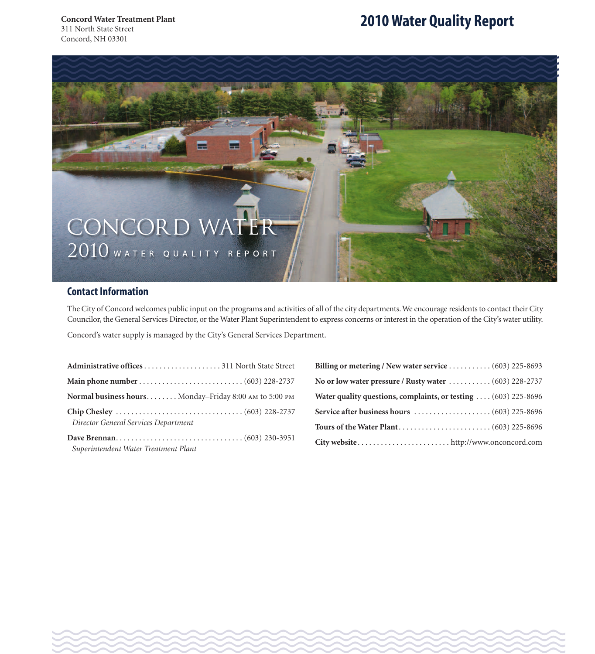# **2010Water Quality Report**



## **Contact Information**

The City of Concord welcomes public input on the programs and activities of all of the city departments.We encourage residents to contact their City Councilor, the General Services Director, or the Water Plant Superintendent to express concerns or interest in the operation of the City's water utility.

Wester Wester Wester Wester Wester Wester Wester Wester Wester Wester Wester Wester Wester Wester Wester Wester Wester Wester Wester Wester Wester Wester Wester Wester Wester Wester Wester Wester Wester Wester Wester Weste

Concord's water supply is managed by the City's General Services Department.

| Normal business hours Monday-Friday 8:00 AM to 5:00 PM |  |
|--------------------------------------------------------|--|
| Director General Services Department                   |  |
| Superintendent Water Treatment Plant                   |  |

| Billing or metering / New water service (603) 225-8693                       |
|------------------------------------------------------------------------------|
| No or low water pressure / Rusty water $\ldots \ldots \ldots (603)$ 228-2737 |
| Water quality questions, complaints, or testing  (603) 225-8696              |
|                                                                              |
|                                                                              |
|                                                                              |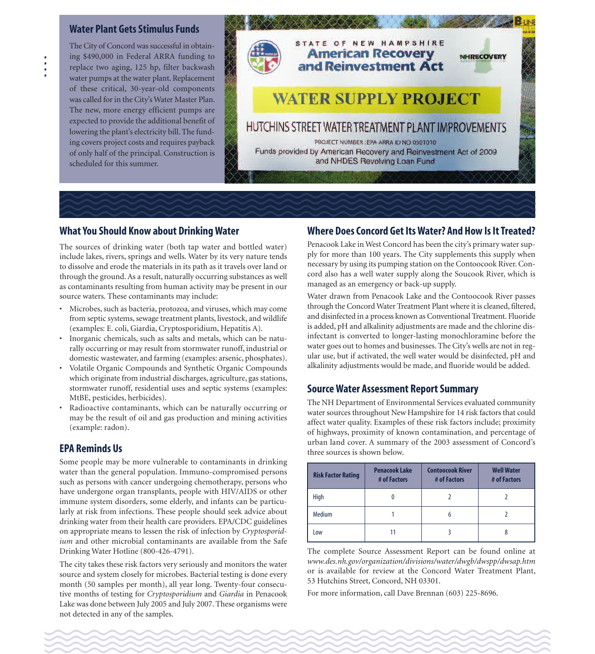#### **Water Plant Gets Stimulus Funds**

The City of Concord was successful in obtaining \$490,000 in Federal ARRA funding to replace two aging, 125 hp, filter backwash water pumps at the water plant. Replacement of these critical, 30-year-old components was called for in the City's Water Master Plan. The new, more energy efficient pumps are expected to provide the additional benefit of lowering the plant's electricity bill. The funding covers project costs and requires payback of only half of the principal. Construction is scheduled for this summer.



### **What You Should Know about DrinkingWater**

The sources of drinking water (both tap water and bottled water) include lakes, rivers, springs and wells. Water by its very nature tends to dissolve and erode the materials in its path as it travels over land or through the ground. As a result, naturally occurring substances as well as contaminants resulting from human activity may be present in our source waters. These contaminants may include:

- Microbes, such as bacteria, protozoa, and viruses, which may come from septic systems, sewage treatment plants, livestock, and wildlife (examples: E. coli, Giardia, Cryptosporidium, Hepatitis A).
- Inorganic chemicals, such as salts and metals, which can be naturally occurring or may result from stormwater runoff, industrial or domestic wastewater, and farming (examples: arsenic, phosphates).
- Volatile Organic Compounds and Synthetic Organic Compounds which originate from industrial discharges, agriculture, gas stations, stormwater runoff, residential uses and septic systems (examples: MtBE, pesticides, herbicides).
- Radioactive contaminants, which can be naturally occurring or may be the result of oil and gas production and mining activities (example: radon).

### **EPA Reminds Us**

Some people may be more vulnerable to contaminants in drinking water than the general population. Immuno-compromised persons such as persons with cancer undergoing chemotherapy, persons who have undergone organ transplants, people with HIV/AIDS or other immune system disorders, some elderly, and infants can be particularly at risk from infections. These people should seek advice about drinking water from their health care providers. EPA/CDC guidelines on appropriate means to lessen the risk of infection by *Cryptosporidium* and other microbial contaminants are available from the Safe Drinking Water Hotline (800-426-4791).

Lake was done between july 2005 and july 2007. These organisms were<br>not detected in any of the samples. The city takes these risk factors very seriously and monitors the water source and system closely for microbes. Bacterial testing is done every month (50 samples per month), all year long. Twenty-four consecutive months of testing for *Cryptosporidium* and *Giardia* in Penacook Lake was done between July 2005 and July 2007. These organisms were not detected in any of the samples.

#### **Where DoesConcord GetItsWater? And HowIsItTreated?**

Penacook Lake in West Concord has been the city's primary water supply for more than 100 years. The City supplements this supply when necessary by using its pumping station on the Contoocook River.Concord also has a well water supply along the Soucook River, which is managed as an emergency or back-up supply.

Water drawn from Penacook Lake and the Contoocook River passes through the Concord Water Treatment Plant where it is cleaned, filtered, and disinfected in a process known as Conventional Treatment. Fluoride is added, pH and alkalinity adjustments are made and the chlorine disinfectant is converted to longer-lasting monochloramine before the water goes out to homes and businesses. The City's wells are not in regular use, but if activated, the well water would be disinfected, pH and alkalinity adjustments would be made, and fluoride would be added.

### **Source Water Assessment Report Summary**

The NH Department of Environmental Services evaluated community water sources throughout New Hampshire for 14 risk factors that could affect water quality. Examples of these risk factors include; proximity of highways, proximity of known contamination, and percentage of urban land cover. A summary of the 2003 assessment of Concord's three sources is shown below.

| <b>Risk Factor Rating</b> | <b>Penacook Lake</b><br># of Factors | <b>Contoocook River</b><br># of Factors | <b>Well Water</b><br># of Factors |
|---------------------------|--------------------------------------|-----------------------------------------|-----------------------------------|
| High                      |                                      |                                         |                                   |
| <b>Medium</b>             |                                      | 6                                       |                                   |
| Low                       |                                      |                                         | 8                                 |

The complete Source Assessment Report can be found online at *www.des.nh.gov/organization/divisions/water/dwgb/dwspp/dwsap.htm* or is available for review at the Concord Water Treatment Plant, 53 Hutchins Street, Concord, NH 03301.

For more information, call Dave Brennan (603) 225-8696.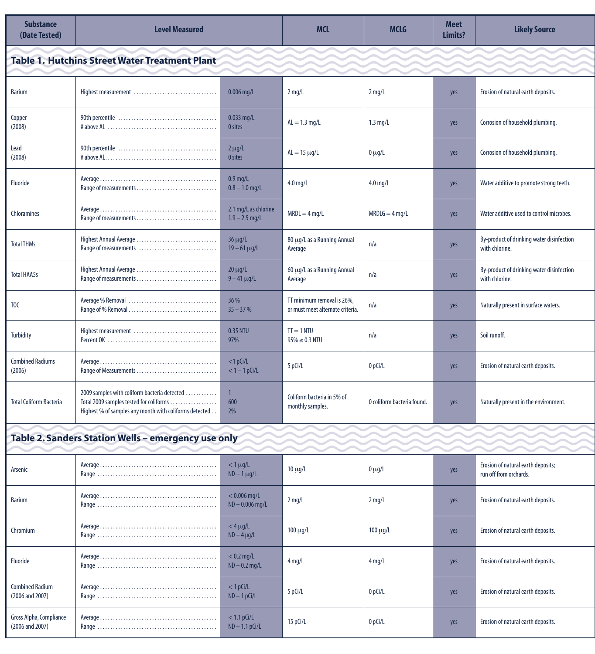| <b>Substance</b><br>(Date Tested)                   | <b>Level Measured</b>                                                                                                                             |                                          | <b>MCL</b>                                                     | <b>MCLG</b>                | <b>Meet</b><br>Limits? | <b>Likely Source</b>                                         |
|-----------------------------------------------------|---------------------------------------------------------------------------------------------------------------------------------------------------|------------------------------------------|----------------------------------------------------------------|----------------------------|------------------------|--------------------------------------------------------------|
|                                                     | <b>Table 1. Hutchins Street Water Treatment Plant</b>                                                                                             |                                          |                                                                |                            |                        |                                                              |
| <b>Barium</b>                                       |                                                                                                                                                   | $0.006$ mg/L                             | $2$ mg/L                                                       | $2 \text{ mg/L}$           | yes                    | Erosion of natural earth deposits.                           |
| Copper<br>(2008)                                    |                                                                                                                                                   | $0.033$ mg/L<br>0 sites                  | $AL = 1.3$ mg/L                                                | $1.3 \text{ mg/L}$         | yes                    | Corrosion of household plumbing.                             |
| Lead<br>(2008)                                      |                                                                                                                                                   | $2 \mu g/L$<br>0 sites                   | $AL = 15 \mu g/L$                                              | $0 \mu$ g/L                | yes                    | Corrosion of household plumbing.                             |
| <b>Fluoride</b>                                     |                                                                                                                                                   | $0.9$ mg/L<br>$0.8 - 1.0$ mg/L           | $4.0$ mg/L                                                     | $4.0$ mg/L                 | yes                    | Water additive to promote strong teeth.                      |
| Chloramines                                         |                                                                                                                                                   | 2.1 mg/L as chlorine<br>$1.9 - 2.5$ mg/L | $MRDL = 4$ mg/L                                                | $MRDLG = 4 mg/L$           | yes                    | Water additive used to control microbes.                     |
| <b>Total THMs</b>                                   | Highest Annual Average<br>Range of measurements                                                                                                   | $36 \mu g/L$<br>$19 - 61 \mu g/L$        | 80 μg/L as a Running Annual<br>Average                         | n/a                        | yes                    | By-product of drinking water disinfection<br>with chlorine.  |
| <b>Total HAA5s</b>                                  | Highest Annual Average                                                                                                                            | $20 \mu g/L$<br>$9 - 41 \mu g/L$         | 60 μg/L as a Running Annual<br>Average                         | n/a                        | yes                    | By-product of drinking water disinfection<br>with chlorine.  |
| TOC                                                 |                                                                                                                                                   | 36 %<br>$35 - 37%$                       | TT minimum removal is 26%,<br>or must meet alternate criteria. | n/a                        | yes                    | Naturally present in surface waters.                         |
| Turbidity                                           | Highest measurement                                                                                                                               | 0.35 NTU<br>97%                          | $TI = 1 NIU$<br>$95\% \le 0.3$ NTU                             | n/a                        | yes                    | Soil runoff.                                                 |
| <b>Combined Radiums</b><br>(2006)                   |                                                                                                                                                   | $<$ 1 pCi/L<br>$< 1 - 1$ pCi/L           | 5 pCi/L                                                        | 0 pCi/L                    | yes                    | Erosion of natural earth deposits.                           |
| <b>Total Coliform Bacteria</b>                      | 2009 samples with coliform bacteria detected<br>Total 2009 samples tested for coliforms<br>Highest % of samples any month with coliforms detected | 600<br>2%                                | Coliform bacteria in 5% of<br>monthly samples.                 | 0 coliform bacteria found. | yes                    | Naturally present in the environment.                        |
| Table 2. Sanders Station Wells - emergency use only |                                                                                                                                                   |                                          |                                                                |                            |                        |                                                              |
| Arsenic                                             |                                                                                                                                                   | $<$ 1 $\mu$ g/L<br>$ND - 1 \mu g/L$      | $10 \mu g/L$                                                   | $0 \mu g/L$                | yes                    | Erosion of natural earth deposits;<br>run off from orchards. |
| <b>Barium</b>                                       |                                                                                                                                                   | $< 0.006$ mg/L<br>$ND - 0.006$ mg/L      | $2 \,\mathrm{mg/L}$                                            | $2 \text{ mg/L}$           | yes                    | Erosion of natural earth deposits.                           |
| Chromium                                            |                                                                                                                                                   | $<$ 4 $\mu$ g/L<br>$ND - 4 \mu g/L$      | $100 \mu g/L$                                                  | $100 \mu g/L$              | yes                    | Erosion of natural earth deposits.                           |
| Fluoride                                            |                                                                                                                                                   | $< 0.2$ mg/L<br>$ND - 0.2$ mg/L          | $4$ mg/L                                                       | $4$ mg/L                   | yes                    | Erosion of natural earth deposits.                           |
| <b>Combined Radium</b><br>(2006 and 2007)           |                                                                                                                                                   | $<$ 1 pCi/L<br>$ND - 1 pCi/L$            | 5 pCi/L                                                        | 0 pCi/L                    | yes                    | Erosion of natural earth deposits.                           |

Range . . . . . . . . . . . . . . . . . . . . . . . . . . . . . . . . . . . . . . . . . . . . . . ND – 1.1pCi/L 15pCi/L 0pCi/L yes Erosion of naturalearth deposits.

Gross Alpha, Compliance (2006 and 2007)

Average. . . . . . . . . . . . . . . . . . . . . . . . . . . . . . . . . . . . . . . . . . . . . < 1.1pCi/L